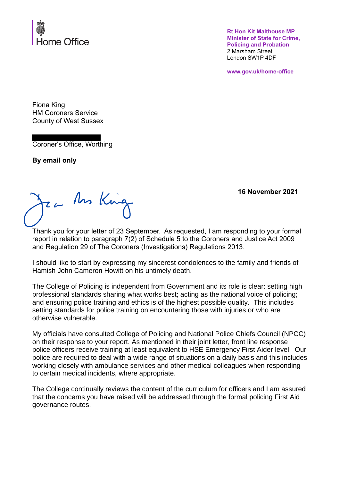

**Rt Hon Kit Malthouse MP Minister of State for Crime, Policing and Probation** 2 Marsham Street London SW1P 4DF

**www.gov.uk/home-office**

Fiona King HM Coroners Service County of West Sussex

Coroner's Office, Worthing

**By email only**

Za An King

**16 November 2021**

Thank you for your letter of 23 September. As requested, I am responding to your formal report in relation to paragraph 7(2) of Schedule 5 to the Coroners and Justice Act 2009 and Regulation 29 of The Coroners (Investigations) Regulations 2013.

I should like to start by expressing my sincerest condolences to the family and friends of Hamish John Cameron Howitt on his untimely death.

The College of Policing is independent from Government and its role is clear: setting high professional standards sharing what works best; acting as the national voice of policing; and ensuring police training and ethics is of the highest possible quality. This includes setting standards for police training on encountering those with injuries or who are otherwise vulnerable.

My officials have consulted College of Policing and National Police Chiefs Council (NPCC) on their response to your report. As mentioned in their joint letter, front line response police officers receive training at least equivalent to HSE Emergency First Aider level. Our police are required to deal with a wide range of situations on a daily basis and this includes working closely with ambulance services and other medical colleagues when responding to certain medical incidents, where appropriate.

The College continually reviews the content of the curriculum for officers and I am assured that the concerns you have raised will be addressed through the formal policing First Aid governance routes.